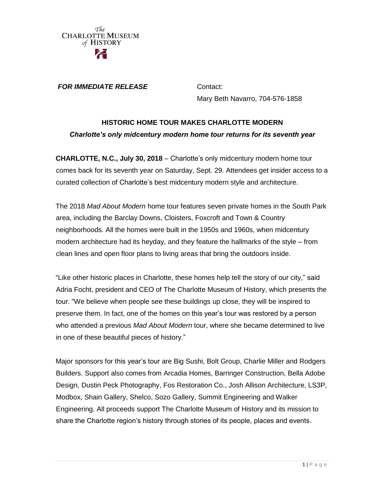

*FOR IMMEDIATE RELEASE* **Contact:** 

Mary Beth Navarro, 704-576-1858

# **HISTORIC HOME TOUR MAKES CHARLOTTE MODERN** *Charlotte's only midcentury modern home tour returns for its seventh year*

**CHARLOTTE, N.C., July 30, 2018** – Charlotte's only midcentury modern home tour comes back for its seventh year on Saturday, Sept. 29. Attendees get insider access to a curated collection of Charlotte's best midcentury modern style and architecture.

The 2018 *Mad About Modern* home tour features seven private homes in the South Park area, including the Barclay Downs, Cloisters, Foxcroft and Town & Country neighborhoods. All the homes were built in the 1950s and 1960s, when midcentury modern architecture had its heyday, and they feature the hallmarks of the style – from clean lines and open floor plans to living areas that bring the outdoors inside.

"Like other historic places in Charlotte, these homes help tell the story of our city," said Adria Focht, president and CEO of The Charlotte Museum of History, which presents the tour. "We believe when people see these buildings up close, they will be inspired to preserve them. In fact, one of the homes on this year's tour was restored by a person who attended a previous *Mad About Modern* tour, where she became determined to live in one of these beautiful pieces of history."

Major sponsors for this year's tour are Big Sushi, Bolt Group, Charlie Miller and Rodgers Builders. Support also comes from Arcadia Homes, Barringer Construction, Bella Adobe Design, Dustin Peck Photography, Fos Restoration Co., Josh Allison Architecture, LS3P, Modbox, Shain Gallery, Shelco, Sozo Gallery, Summit Engineering and Walker Engineering. All proceeds support The Charlotte Museum of History and its mission to share the Charlotte region's history through stories of its people, places and events.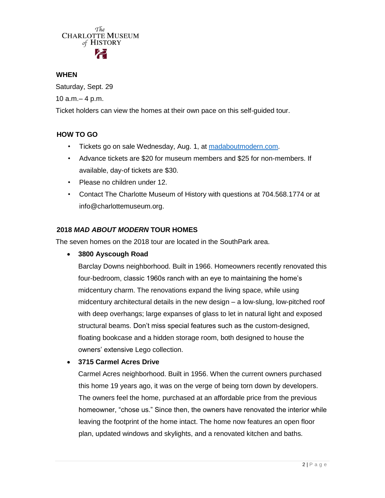# The **CHARLOTTE MUSEUM** of HISTORY

#### **WHEN**

Saturday, Sept. 29 10 a.m.– 4 p.m.

Ticket holders can view the homes at their own pace on this self-guided tour.

## **HOW TO GO**

- Tickets go on sale Wednesday, Aug. 1, at [madaboutmodern.com.](https://www.madaboutmodern.com/)
- Advance tickets are \$20 for museum members and \$25 for non-members. If available, day-of tickets are \$30.
- Please no children under 12.
- Contact The Charlotte Museum of History with questions at 704.568.1774 or at info@charlottemuseum.org.

# **2018** *MAD ABOUT MODERN* **TOUR HOMES**

The seven homes on the 2018 tour are located in the SouthPark area.

**3800 Ayscough Road**

Barclay Downs neighborhood. Built in 1966. Homeowners recently renovated this four-bedroom, classic 1960s ranch with an eye to maintaining the home's midcentury charm. The renovations expand the living space, while using midcentury architectural details in the new design – a low-slung, low-pitched roof with deep overhangs; large expanses of glass to let in natural light and exposed structural beams. Don't miss special features such as the custom-designed, floating bookcase and a hidden storage room, both designed to house the owners' extensive Lego collection.

## **3715 Carmel Acres Drive**

Carmel Acres neighborhood. Built in 1956. When the current owners purchased this home 19 years ago, it was on the verge of being torn down by developers. The owners feel the home, purchased at an affordable price from the previous homeowner, "chose us." Since then, the owners have renovated the interior while leaving the footprint of the home intact. The home now features an open floor plan, updated windows and skylights, and a renovated kitchen and baths.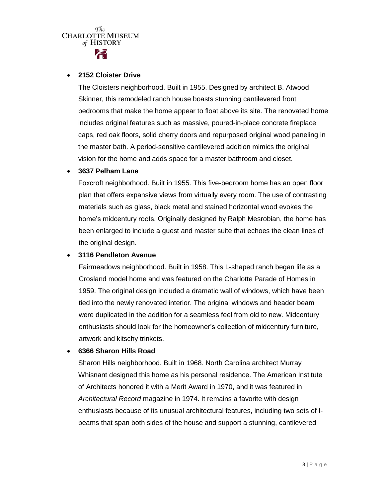# The **CHARLOTTE MUSEUM** of HISTORY

#### **2152 Cloister Drive**

The Cloisters neighborhood. Built in 1955. Designed by architect B. Atwood Skinner, this remodeled ranch house boasts stunning cantilevered front bedrooms that make the home appear to float above its site. The renovated home includes original features such as massive, poured-in-place concrete fireplace caps, red oak floors, solid cherry doors and repurposed original wood paneling in the master bath. A period-sensitive cantilevered addition mimics the original vision for the home and adds space for a master bathroom and closet.

### **3637 Pelham Lane**

Foxcroft neighborhood. Built in 1955. This five-bedroom home has an open floor plan that offers expansive views from virtually every room. The use of contrasting materials such as glass, black metal and stained horizontal wood evokes the home's midcentury roots. Originally designed by Ralph Mesrobian, the home has been enlarged to include a guest and master suite that echoes the clean lines of the original design.

## **3116 Pendleton Avenue**

Fairmeadows neighborhood. Built in 1958. This L-shaped ranch began life as a Crosland model home and was featured on the Charlotte Parade of Homes in 1959. The original design included a dramatic wall of windows, which have been tied into the newly renovated interior. The original windows and header beam were duplicated in the addition for a seamless feel from old to new. Midcentury enthusiasts should look for the homeowner's collection of midcentury furniture, artwork and kitschy trinkets.

## **6366 Sharon Hills Road**

Sharon Hills neighborhood. Built in 1968. North Carolina architect Murray Whisnant designed this home as his personal residence. The American Institute of Architects honored it with a Merit Award in 1970, and it was featured in *Architectural Record* magazine in 1974. It remains a favorite with design enthusiasts because of its unusual architectural features, including two sets of Ibeams that span both sides of the house and support a stunning, cantilevered